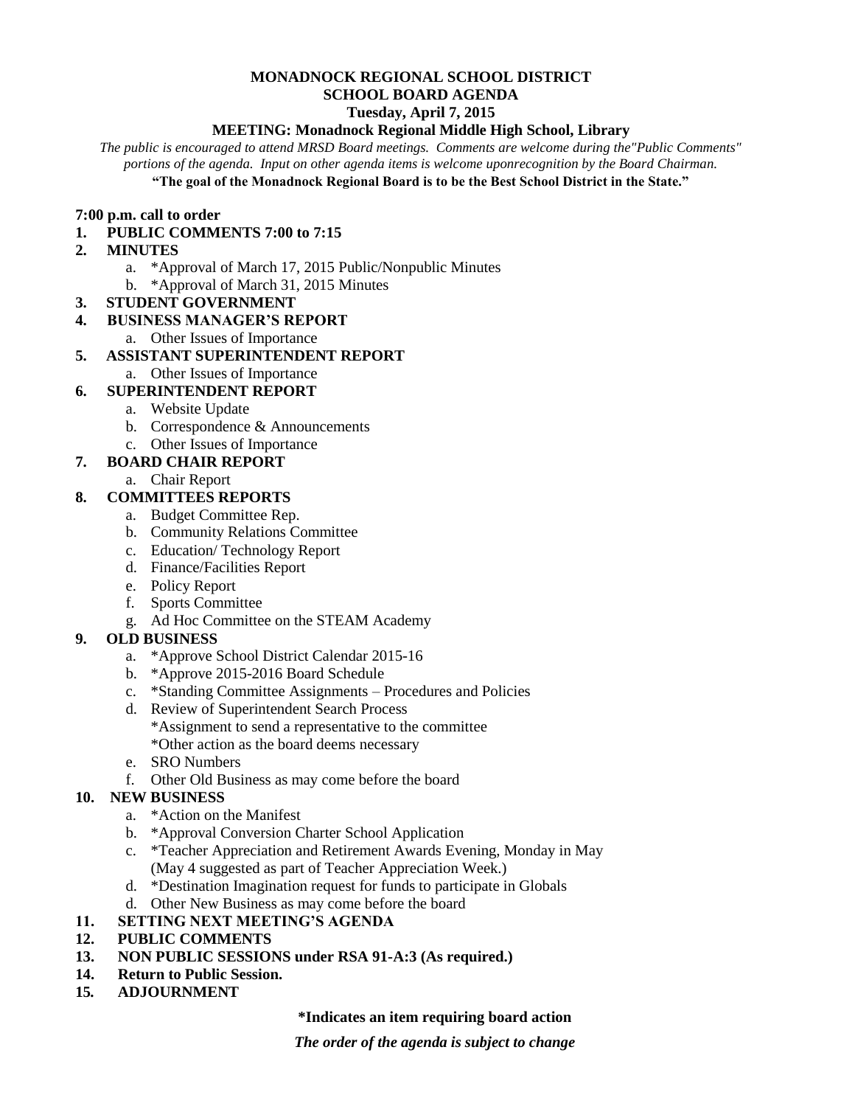## **MONADNOCK REGIONAL SCHOOL DISTRICT SCHOOL BOARD AGENDA Tuesday, April 7, 2015**

# **MEETING: Monadnock Regional Middle High School, Library**

*The public is encouraged to attend MRSD Board meetings. Comments are welcome during the"Public Comments" portions of the agenda. Input on other agenda items is welcome uponrecognition by the Board Chairman.* **"The goal of the Monadnock Regional Board is to be the Best School District in the State."**

#### **7:00 p.m. call to order**

**1. PUBLIC COMMENTS 7:00 to 7:15** 

#### **2. MINUTES**

- a. \*Approval of March 17, 2015 Public/Nonpublic Minutes
- b. \*Approval of March 31, 2015 Minutes
- **3. STUDENT GOVERNMENT**

#### **4. BUSINESS MANAGER'S REPORT**

a. Other Issues of Importance

## **5. ASSISTANT SUPERINTENDENT REPORT**

a. Other Issues of Importance

## **6. SUPERINTENDENT REPORT**

- a. Website Update
- b. Correspondence & Announcements
- c. Other Issues of Importance

## **7. BOARD CHAIR REPORT**

a. Chair Report

## **8. COMMITTEES REPORTS**

- a. Budget Committee Rep.
- b. Community Relations Committee
- c. Education/ Technology Report
- d. Finance/Facilities Report
- e. Policy Report
- f. Sports Committee
- g. Ad Hoc Committee on the STEAM Academy

# **9. OLD BUSINESS**

- a. \*Approve School District Calendar 2015-16
- b. \*Approve 2015-2016 Board Schedule
- c. \*Standing Committee Assignments Procedures and Policies
- d. Review of Superintendent Search Process \*Assignment to send a representative to the committee \*Other action as the board deems necessary
- e. SRO Numbers
- f. Other Old Business as may come before the board

## **10. NEW BUSINESS**

- a. \*Action on the Manifest
- b. \*Approval Conversion Charter School Application
- c. \*Teacher Appreciation and Retirement Awards Evening, Monday in May (May 4 suggested as part of Teacher Appreciation Week.)
- d. \*Destination Imagination request for funds to participate in Globals
- d. Other New Business as may come before the board
- **11. SETTING NEXT MEETING'S AGENDA**
- **12. PUBLIC COMMENTS**
- **13. NON PUBLIC SESSIONS under RSA 91-A:3 (As required.)**
- **14. Return to Public Session.**
- **15***.* **ADJOURNMENT**

#### **\*Indicates an item requiring board action**

*The order of the agenda is subject to change*